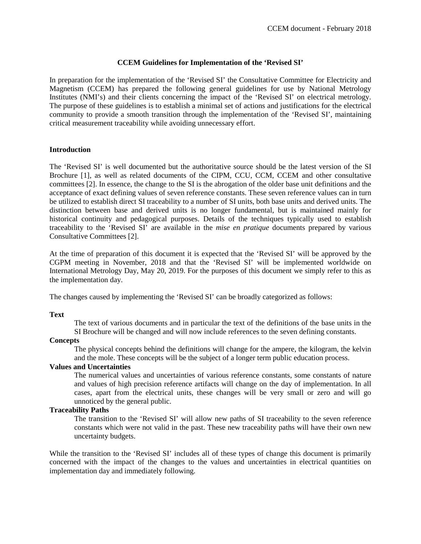# **CCEM Guidelines for Implementation of the 'Revised SI'**

In preparation for the implementation of the 'Revised SI' the Consultative Committee for Electricity and Magnetism (CCEM) has prepared the following general guidelines for use by National Metrology Institutes (NMI's) and their clients concerning the impact of the 'Revised SI' on electrical metrology. The purpose of these guidelines is to establish a minimal set of actions and justifications for the electrical community to provide a smooth transition through the implementation of the 'Revised SI', maintaining critical measurement traceability while avoiding unnecessary effort.

### **Introduction**

The 'Revised SI' is well documented but the authoritative source should be the latest version of the SI Brochure [1], as well as related documents of the CIPM, CCU, CCM, CCEM and other consultative committees [2]. In essence, the change to the SI is the abrogation of the older base unit definitions and the acceptance of exact defining values of seven reference constants. These seven reference values can in turn be utilized to establish direct SI traceability to a number of SI units, both base units and derived units. The distinction between base and derived units is no longer fundamental, but is maintained mainly for historical continuity and pedagogical purposes. Details of the techniques typically used to establish traceability to the 'Revised SI' are available in the *mise en pratique* documents prepared by various Consultative Committees [2].

At the time of preparation of this document it is expected that the 'Revised SI' will be approved by the CGPM meeting in November, 2018 and that the 'Revised SI' will be implemented worldwide on International Metrology Day, May 20, 2019. For the purposes of this document we simply refer to this as the implementation day.

The changes caused by implementing the 'Revised SI' can be broadly categorized as follows:

#### **Text**

The text of various documents and in particular the text of the definitions of the base units in the SI Brochure will be changed and will now include references to the seven defining constants.

#### **Concepts**

The physical concepts behind the definitions will change for the ampere, the kilogram, the kelvin and the mole. These concepts will be the subject of a longer term public education process.

## **Values and Uncertainties**

The numerical values and uncertainties of various reference constants, some constants of nature and values of high precision reference artifacts will change on the day of implementation. In all cases, apart from the electrical units, these changes will be very small or zero and will go unnoticed by the general public.

### **Traceability Paths**

The transition to the 'Revised SI' will allow new paths of SI traceability to the seven reference constants which were not valid in the past. These new traceability paths will have their own new uncertainty budgets.

While the transition to the 'Revised SI' includes all of these types of change this document is primarily concerned with the impact of the changes to the values and uncertainties in electrical quantities on implementation day and immediately following.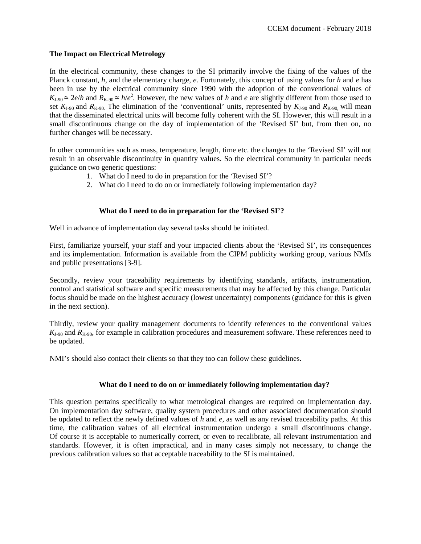# **The Impact on Electrical Metrology**

In the electrical community, these changes to the SI primarily involve the fixing of the values of the Planck constant, *h*, and the elementary charge, *e*. Fortunately, this concept of using values for *h* and *e* has been in use by the electrical community since 1990 with the adoption of the conventional values of  $K_{J-90} \cong 2e/h$  and  $R_{K-90} \cong h/e^2$ . However, the new values of *h* and *e* are slightly different from those used to set  $K_{J-90}$  and  $R_{K-90}$ . The elimination of the 'conventional' units, represented by  $K_{J-90}$  and  $R_{K-90}$ , will mean that the disseminated electrical units will become fully coherent with the SI. However, this will result in a small discontinuous change on the day of implementation of the 'Revised SI' but, from then on, no further changes will be necessary.

In other communities such as mass, temperature, length, time etc. the changes to the 'Revised SI' will not result in an observable discontinuity in quantity values. So the electrical community in particular needs guidance on two generic questions:

- 1. What do I need to do in preparation for the 'Revised SI'?
- 2. What do I need to do on or immediately following implementation day?

# **What do I need to do in preparation for the 'Revised SI'?**

Well in advance of implementation day several tasks should be initiated.

First, familiarize yourself, your staff and your impacted clients about the 'Revised SI', its consequences and its implementation. Information is available from the CIPM publicity working group, various NMIs and public presentations [3-9].

Secondly, review your traceability requirements by identifying standards, artifacts, instrumentation, control and statistical software and specific measurements that may be affected by this change. Particular focus should be made on the highest accuracy (lowest uncertainty) components (guidance for this is given in the next section).

Thirdly, review your quality management documents to identify references to the conventional values  $K_{1-90}$  and  $R_{K-90}$ , for example in calibration procedures and measurement software. These references need to be updated.

NMI's should also contact their clients so that they too can follow these guidelines.

# **What do I need to do on or immediately following implementation day?**

This question pertains specifically to what metrological changes are required on implementation day. On implementation day software, quality system procedures and other associated documentation should be updated to reflect the newly defined values of *h* and *e*, as well as any revised traceability paths. At this time, the calibration values of all electrical instrumentation undergo a small discontinuous change. Of course it is acceptable to numerically correct, or even to recalibrate, all relevant instrumentation and standards. However, it is often impractical, and in many cases simply not necessary, to change the previous calibration values so that acceptable traceability to the SI is maintained.